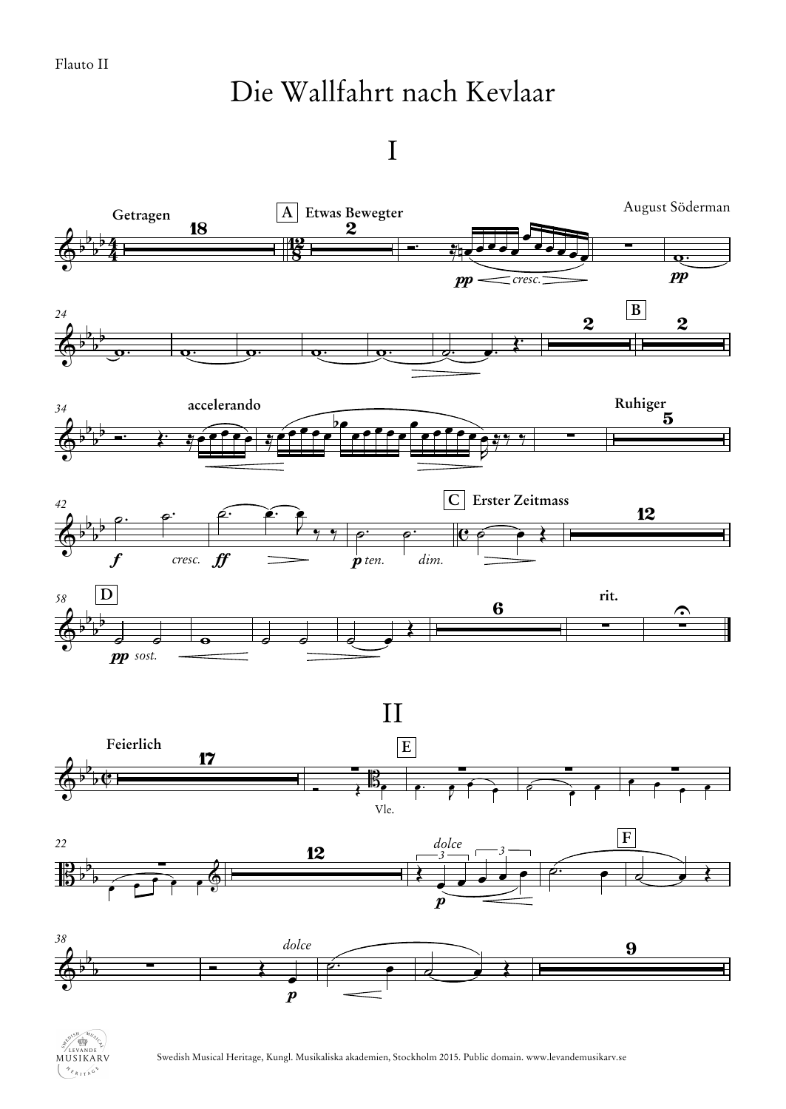## Die Wallfahrt nach Kevlaar

I



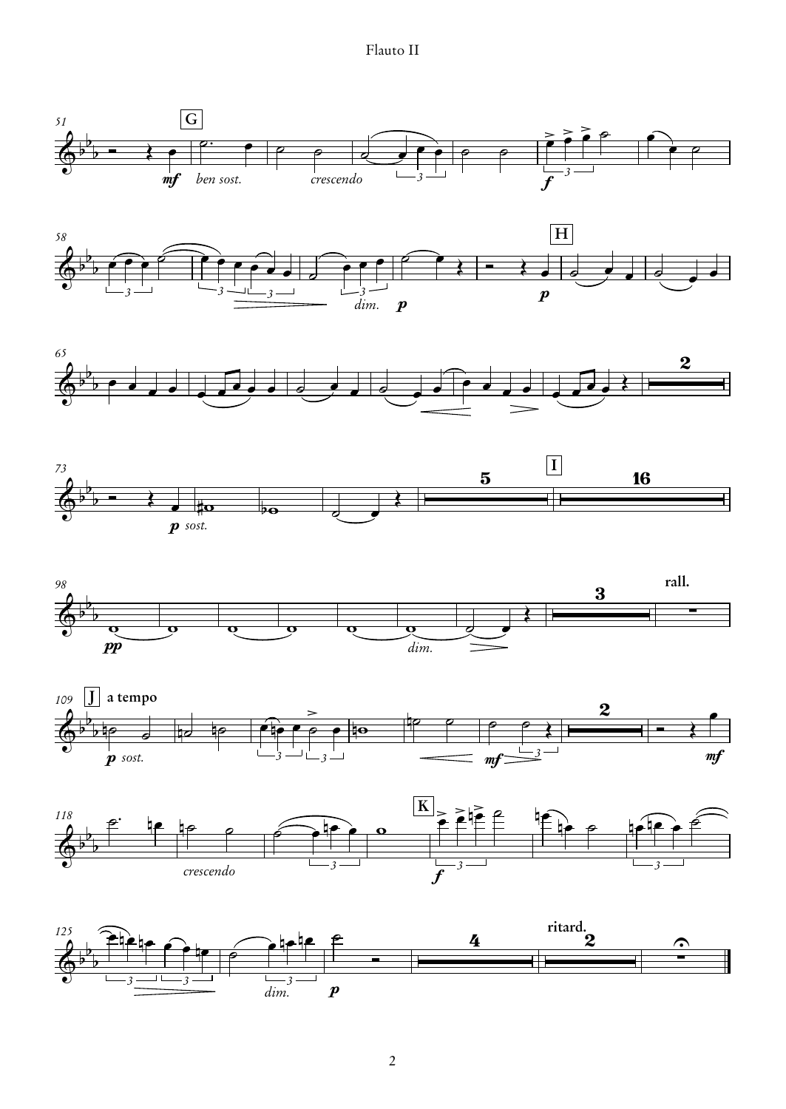Flauto II